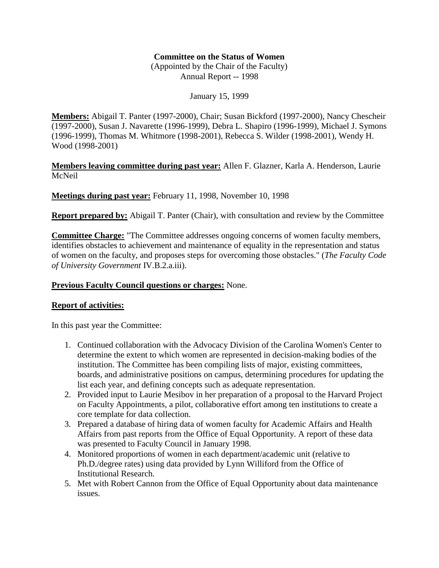## **Committee on the Status of Women**

(Appointed by the Chair of the Faculty) Annual Report -- 1998

January 15, 1999

**Members:** Abigail T. Panter (1997-2000), Chair; Susan Bickford (1997-2000), Nancy Chescheir (1997-2000), Susan J. Navarette (1996-1999), Debra L. Shapiro (1996-1999), Michael J. Symons (1996-1999), Thomas M. Whitmore (1998-2001), Rebecca S. Wilder (1998-2001), Wendy H. Wood (1998-2001)

**Members leaving committee during past year:** Allen F. Glazner, Karla A. Henderson, Laurie McNeil

**Meetings during past year:** February 11, 1998, November 10, 1998

**Report prepared by:** Abigail T. Panter (Chair), with consultation and review by the Committee

**Committee Charge:** "The Committee addresses ongoing concerns of women faculty members, identifies obstacles to achievement and maintenance of equality in the representation and status of women on the faculty, and proposes steps for overcoming those obstacles." (*The Faculty Code of University Government* IV.B.2.a.iii).

## **Previous Faculty Council questions or charges:** None.

## **Report of activities:**

In this past year the Committee:

- 1. Continued collaboration with the Advocacy Division of the Carolina Women's Center to determine the extent to which women are represented in decision-making bodies of the institution. The Committee has been compiling lists of major, existing committees, boards, and administrative positions on campus, determining procedures for updating the list each year, and defining concepts such as adequate representation.
- 2. Provided input to Laurie Mesibov in her preparation of a proposal to the Harvard Project on Faculty Appointments, a pilot, collaborative effort among ten institutions to create a core template for data collection.
- 3. Prepared a database of hiring data of women faculty for Academic Affairs and Health Affairs from past reports from the Office of Equal Opportunity. A report of these data was presented to Faculty Council in January 1998.
- 4. Monitored proportions of women in each department/academic unit (relative to Ph.D./degree rates) using data provided by Lynn Williford from the Office of Institutional Research.
- 5. Met with Robert Cannon from the Office of Equal Opportunity about data maintenance issues.